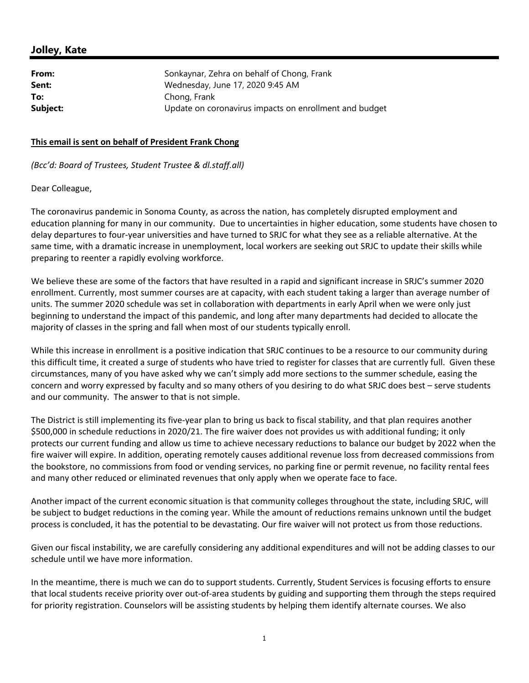## **Jolley, Kate**

| From:    | Sonkaynar, Zehra on behalf of Chong, Frank             |
|----------|--------------------------------------------------------|
| Sent:    | Wednesday, June 17, 2020 9:45 AM                       |
| To:      | Chong, Frank                                           |
| Subject: | Update on coronavirus impacts on enrollment and budget |

## **This email is sent on behalf of President Frank Chong**

*(Bcc'd: Board of Trustees, Student Trustee & dl.staff.all)*

## Dear Colleague,

The coronavirus pandemic in Sonoma County, as across the nation, has completely disrupted employment and education planning for many in our community. Due to uncertainties in higher education, some students have chosen to delay departures to four‐year universities and have turned to SRJC for what they see as a reliable alternative. At the same time, with a dramatic increase in unemployment, local workers are seeking out SRJC to update their skills while preparing to reenter a rapidly evolving workforce.

We believe these are some of the factors that have resulted in a rapid and significant increase in SRJC's summer 2020 enrollment. Currently, most summer courses are at capacity, with each student taking a larger than average number of units. The summer 2020 schedule was set in collaboration with departments in early April when we were only just beginning to understand the impact of this pandemic, and long after many departments had decided to allocate the majority of classes in the spring and fall when most of our students typically enroll.

While this increase in enrollment is a positive indication that SRJC continues to be a resource to our community during this difficult time, it created a surge of students who have tried to register for classes that are currently full. Given these circumstances, many of you have asked why we can't simply add more sections to the summer schedule, easing the concern and worry expressed by faculty and so many others of you desiring to do what SRJC does best – serve students and our community. The answer to that is not simple.

The District is still implementing its five‐year plan to bring us back to fiscal stability, and that plan requires another \$500,000 in schedule reductions in 2020/21. The fire waiver does not provides us with additional funding; it only protects our current funding and allow us time to achieve necessary reductions to balance our budget by 2022 when the fire waiver will expire. In addition, operating remotely causes additional revenue loss from decreased commissions from the bookstore, no commissions from food or vending services, no parking fine or permit revenue, no facility rental fees and many other reduced or eliminated revenues that only apply when we operate face to face.

Another impact of the current economic situation is that community colleges throughout the state, including SRJC, will be subject to budget reductions in the coming year. While the amount of reductions remains unknown until the budget process is concluded, it has the potential to be devastating. Our fire waiver will not protect us from those reductions.

Given our fiscal instability, we are carefully considering any additional expenditures and will not be adding classes to our schedule until we have more information.

In the meantime, there is much we can do to support students. Currently, Student Services is focusing efforts to ensure that local students receive priority over out‐of‐area students by guiding and supporting them through the steps required for priority registration. Counselors will be assisting students by helping them identify alternate courses. We also